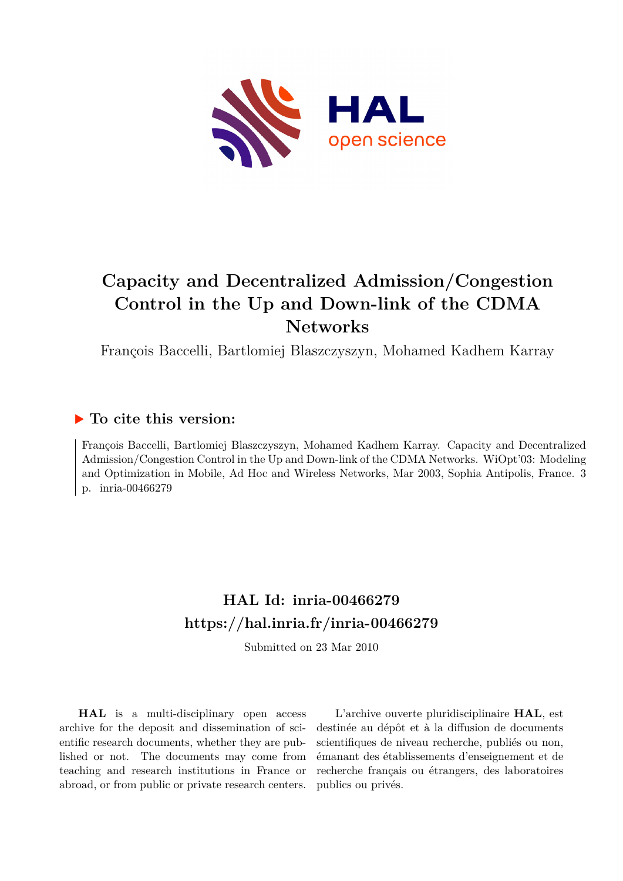

## **Capacity and Decentralized Admission/Congestion Control in the Up and Down-link of the CDMA Networks**

François Baccelli, Bartlomiej Blaszczyszyn, Mohamed Kadhem Karray

#### **To cite this version:**

François Baccelli, Bartlomiej Blaszczyszyn, Mohamed Kadhem Karray. Capacity and Decentralized Admission/Congestion Control in the Up and Down-link of the CDMA Networks. WiOpt'03: Modeling and Optimization in Mobile, Ad Hoc and Wireless Networks, Mar 2003, Sophia Antipolis, France. 3 p. inria-00466279

### **HAL Id: inria-00466279 <https://hal.inria.fr/inria-00466279>**

Submitted on 23 Mar 2010

**HAL** is a multi-disciplinary open access archive for the deposit and dissemination of scientific research documents, whether they are published or not. The documents may come from teaching and research institutions in France or abroad, or from public or private research centers.

L'archive ouverte pluridisciplinaire **HAL**, est destinée au dépôt et à la diffusion de documents scientifiques de niveau recherche, publiés ou non, émanant des établissements d'enseignement et de recherche français ou étrangers, des laboratoires publics ou privés.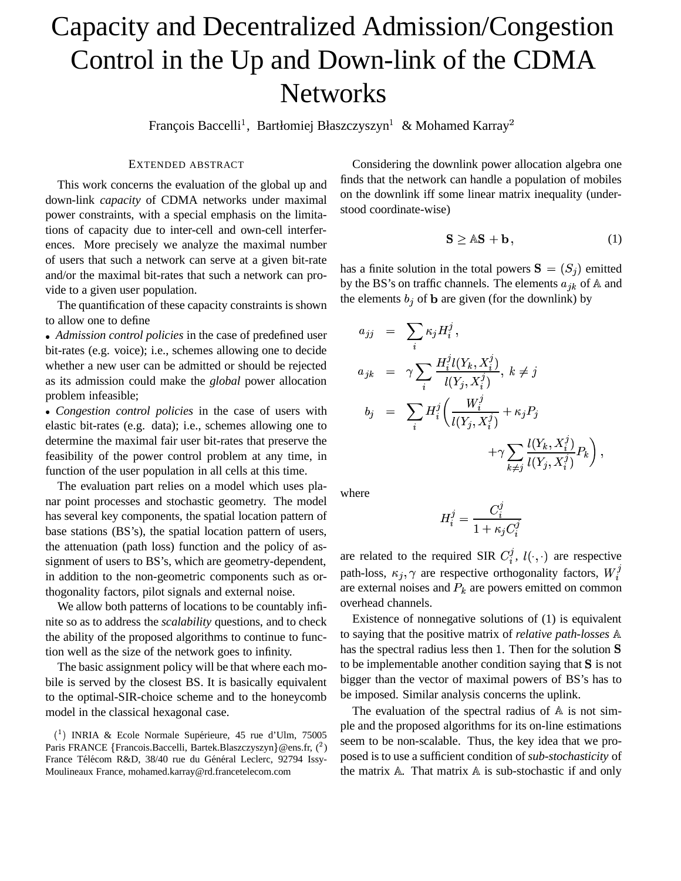# Capacity and Decentralized Admission/Congestion Control in the Up and Down-link of the CDMA **Networks**

François Baccelli<sup>1</sup>, Bartłomiej Błaszczyszyn<sup>1</sup> & Mohamed Karray<sup>2</sup>

#### EXTENDED ABSTRACT

This work concerns the evaluation of the global up and down-link *capacity* of CDMA networks under maximal power constraints, with a special emphasis on the limitations of capacity due to inter-cell and own-cell interferences. More precisely we analyze the maximal number of users that such a network can serve at a given bit-rate and/or the maximal bit-rates that such a network can provide to a given user population.

The quantification of these capacity constraints is shown to allow one to define

- *Admission control policies* in the case of predefined user bit-rates (e.g. voice); i.e., schemes allowing one to decide whether a new user can be admitted or should be rejected as its admission could make the *global* power allocation problem infeasible;

- *Congestion control policies* in the case of users with elastic bit-rates (e.g. data); i.e., schemes allowing one to determine the maximal fair user bit-rates that preserve the feasibility of the power control problem at any time, in function of the user population in all cells at this time.

The evaluation part relies on a model which uses planar point processes and stochastic geometry. The model has several key components, the spatial location pattern of base stations (BS's), the spatial location pattern of users, the attenuation (path loss) function and the policy of assignment of users to BS's, which are geometry-dependent, in addition to the non-geometric components such as orthogonality factors, pilot signals and external noise.

We allow both patterns of locations to be countably infinite so as to address the *scalability* questions, and to check the ability of the proposed algorithms to continue to function well as the size of the network goes to infinity.

The basic assignment policy will be that where each mobile is served by the closest BS. It is basically equivalent to the optimal-SIR-choice scheme and to the honeycomb model in the classical hexagonal case.

 $(1)$  INRIA & Ecole Normale Supérieure, 45 rue d'Ulm, 75005 Paris FRANCE {Francois.Baccelli, Bartek.Blaszczyszyn}@ens.fr, $(2)$ France Télécom R&D, 38/40 rue du Général Leclerc, 92794 Issy-Moulineaux France, mohamed.karray@rd.francetelecom.com

Considering the downlink power allocation algebra one finds that the network can handle a population of mobiles on the downlink iff some linear matrix inequality (understood coordinate-wise)

$$
S \geq AS + b, \tag{1}
$$

has a finite solution in the total powers  $S = (S_i)$  emitted by the BS's on traffic channels. The elements  $a_{jk}$  of  $A$  and the elements  $b_j$  of **b** are given (for the downlink) by

$$
a_{jj} = \sum_{i} \kappa_j H_i^j,
$$
  
\n
$$
a_{jk} = \gamma \sum_{i} \frac{H_i^j l(Y_k, X_i^j)}{l(Y_j, X_i^j)}, k \neq j
$$
  
\n
$$
b_j = \sum_{i} H_i^j \left( \frac{W_i^j}{l(Y_j, X_i^j)} + \kappa_j P_j + \gamma \sum_{k \neq j} \frac{l(Y_k, X_i^j)}{l(Y_j, X_i^j)} P_k \right),
$$

where

$$
H_i^j = \frac{C_i^j}{1 + \kappa_j C_i^j}
$$

are related to the required SIR  $C_i^j$ ,  $l(\cdot, \cdot)$  are respective path-loss,  $\kappa_j$ ,  $\gamma$  are respective orthogonality factors,  $W_j^j$ are external noises and  $P_k$  are powers emitted on common overhead channels.

Existence of nonnegative solutions of (1) is equivalent to saying that the positive matrix of *relative path-losses* has the spectral radius less then 1. Then for the solution S to be implementable another condition saying that S is not bigger than the vector of maximal powers of BS's has to be imposed. Similar analysis concerns the uplink.

 ) posed is to use a sufficient condition of *sub-stochasticity* of The evaluation of the spectral radius of  $A$  is not simple and the proposed algorithms for its on-line estimations seem to be non-scalable. Thus, the key idea that we prothe matrix  $A$ . That matrix  $A$  is sub-stochastic if and only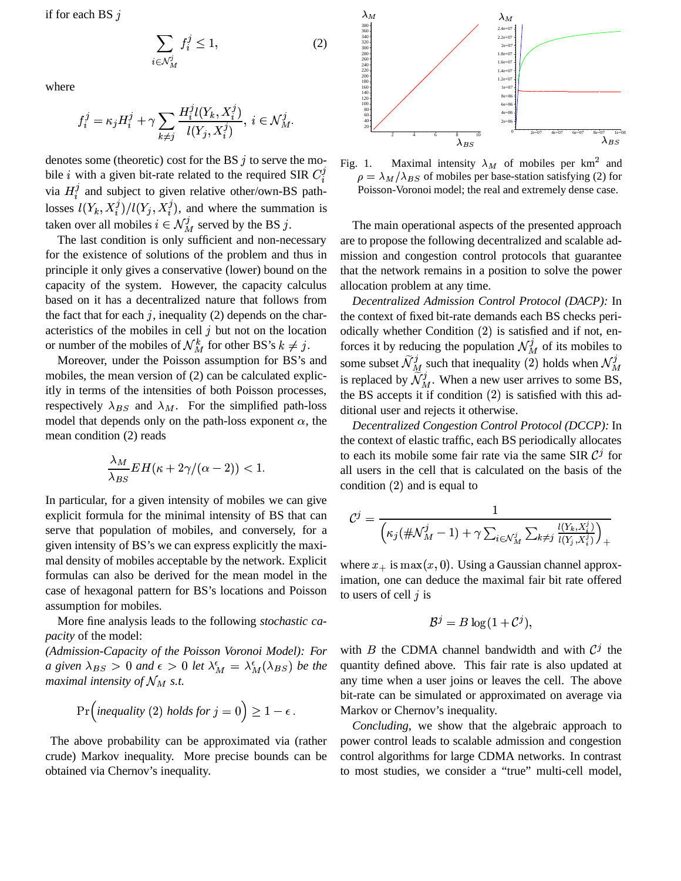if for each BS  $j$ 

$$
\sum_{i \in \mathcal{N}_M^j} f_i^j \le 1,\tag{2}
$$

where

$$
f_i^j=\kappa_jH_i^j+\gamma\sum_{k\neq j}\frac{H_i^jl(Y_k,X_i^j)}{l(Y_j,X_i^j)},\ i\in\mathcal{N}_M^j.
$$

denotes some (theoretic) cost for the BS  $j$  to serve the mobile *i* with a given bit-rate related to the required SIR  $C_i^j$   $\rho = \lambda_M / I$ one *t* with a given on-rate related to the redurned SIR  $C_i$  via  $H_i^j$  and subject to given relative other/own-BS pathvia  $H_i$  and subject to given relative other/own-BS path-<br>losses  $l(Y_k, X_i^j)/l(Y_j, X_i^j)$ , and where the summation is taken over all mobiles  $i \in \mathcal{N}_M^j$  served by the BS j.

The last condition is only sufficient and non-necessary for the existence of solutions of the problem and thus in principle it only gives a conservative (lower) bound on the capacity of the system. However, the capacity calculus based on it has a decentralized nature that follows from the fact that for each  $j$ , inequality (2) depends on the characteristics of the mobiles in cell  $j$  but not on the location or number of the mobiles of  $\mathcal{N}_M^k$  for other BS's  $k \neq j$ . for

Moreover, under the Poisson assumption for BS's and mobiles, the mean version of (2) can be calculated explicitly in terms of the intensities of both Poisson processes, respectively  $\lambda_{BS}$  and  $\lambda_M$ . For the simplified path-loss model that depends only on the path-loss exponent  $\alpha$ , the mean condition (2) reads

$$
\frac{\lambda_M}{\lambda_{BS}}EH(\kappa+2\gamma/(\alpha-2))<1.
$$

In particular, for a given intensity of mobiles we can give explicit formula for the minimal intensity of BS that can serve that population of mobiles, and conversely, for a given intensity of BS's we can express explicitly the maximal density of mobiles acceptable by the network. Explicit formulas can also be derived for the mean model in the case of hexagonal pattern for BS's locations and Poisson assumption for mobiles.

More fine analysis leads to the following *stochastic capacity* of the model:

*(Admission-Capacity of the Poisson Voronoi Model): For a* given  $\lambda_{BS} > 0$  and  $\epsilon > 0$  let  $\lambda_M^{\epsilon} = \lambda_M^{\epsilon}(\lambda_{BS})$  be the q *maximal intensity of*  $N_M$  *s.t.* 

$$
Pr\Big( inequality\ (2)\ holds for\ j=0\Big)\geq 1-\epsilon\,.
$$

The above probability can be approximated via (rather crude) Markov inequality. More precise bounds can be obtained via Chernov's inequality.



 $\int_{i}^{j}$  Fig. Maximal intensity  $\lambda_M$  of mobiles per km<sup>2</sup> and  $\rho = \lambda_M / \lambda_{BS}$  of mobiles per base-station satisfying (2) for Poisson-Voronoi model; the real and extremely dense case.

The main operational aspects of the presented approach are to propose the following decentralized and scalable admission and congestion control protocols that guarantee that the network remains in a position to solve the power allocation problem at any time.

*Decentralized Admission Control Protocol (DACP):* In the context of fixed bit-rate demands each BS checks periodically whether Condition  $(2)$  is satisfied and if not, enforces it by reducing the population  $\mathcal{N}_{M}^{j}$  of its mobiles to some subset  $\widetilde{\mathcal{N}}_M^j$  such that inequality (2) holds when  $\mathcal{N}_M^j$ is replaced by  $\mathcal{N}_{M}^{j}$ . When a new user arrives to some BS, the BS accepts it if condition  $(2)$  is satisfied with this additional user and rejects it otherwise.

*Decentralized Congestion Control Protocol (DCCP):* In the context of elastic traffic, each BS periodically allocates to each its mobile some fair rate via the same SIR  $\mathcal{C}^{\jmath}$  for all users in the cell that is calculated on the basis of the condition  $(2)$  and is equal to

$$
\mathcal{C}^j = \frac{1}{\left(\kappa_j(\#\mathcal{N}_M^j-1)+\gamma\sum_{i\in\mathcal{N}_M^j}\sum_{k\neq j}\frac{l(Y_k,X_i^j)}{l(Y_j,X_i^j)}\right)_+}
$$

where  $x_+$  is  $\max(x, 0)$ . Using a Gaussian channel approximation, one can deduce the maximal fair bit rate offered to users of cell  $j$  is

$$
\mathcal{B}^j = B \log(1 + C^j),
$$

with B the CDMA channel bandwidth and with  $\mathcal{C}^{\jmath}$  the quantity defined above. This fair rate is also updated at any time when a user joins or leaves the cell. The above bit-rate can be simulated or approximated on average via Markov or Chernov's inequality.

*Concluding*, we show that the algebraic approach to power control leads to scalable admission and congestion control algorithms for large CDMA networks. In contrast to most studies, we consider a "true" multi-cell model,